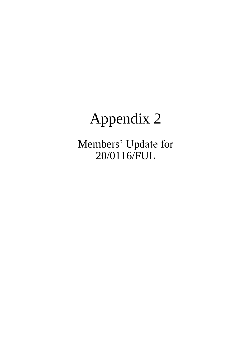# Appendix 2

Members' Update for 20/0116/FUL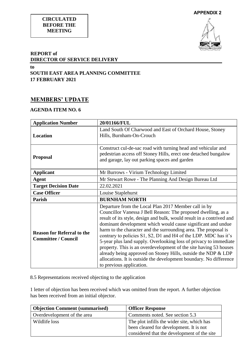#### **CIRCULATED BEFORE THE MEETING**



#### **REPORT of DIRECTOR OF SERVICE DELIVERY**

**to SOUTH EAST AREA PLANNING COMMITTEE 17 FEBRUARY 2021** 

## **MEMBERS' UPDATE**

### **AGENDA ITEM NO. 6**

| <b>Application Number</b>                                       | 20/01166/FUL                                                                                                                                                                                                                                                                                                                                                                                                                                                                                                                                                                                                                                                                                                      |
|-----------------------------------------------------------------|-------------------------------------------------------------------------------------------------------------------------------------------------------------------------------------------------------------------------------------------------------------------------------------------------------------------------------------------------------------------------------------------------------------------------------------------------------------------------------------------------------------------------------------------------------------------------------------------------------------------------------------------------------------------------------------------------------------------|
| <b>Location</b>                                                 | Land South Of Charwood and East of Orchard House, Stoney<br>Hills, Burnham-On-Crouch                                                                                                                                                                                                                                                                                                                                                                                                                                                                                                                                                                                                                              |
| <b>Proposal</b>                                                 | Construct cul-de-sac road with turning head and vehicular and<br>pedestrian access off Stoney Hills, erect one detached bungalow<br>and garage, lay out parking spaces and garden                                                                                                                                                                                                                                                                                                                                                                                                                                                                                                                                 |
| <b>Applicant</b>                                                | Mr Burrows - Virium Technology Limited                                                                                                                                                                                                                                                                                                                                                                                                                                                                                                                                                                                                                                                                            |
| <b>Agent</b>                                                    | Mr Stewart Rowe - The Planning And Design Bureau Ltd                                                                                                                                                                                                                                                                                                                                                                                                                                                                                                                                                                                                                                                              |
| <b>Target Decision Date</b>                                     | 22.02.2021                                                                                                                                                                                                                                                                                                                                                                                                                                                                                                                                                                                                                                                                                                        |
| <b>Case Officer</b>                                             | Louise Staplehurst                                                                                                                                                                                                                                                                                                                                                                                                                                                                                                                                                                                                                                                                                                |
| <b>Parish</b>                                                   | <b>BURNHAM NORTH</b>                                                                                                                                                                                                                                                                                                                                                                                                                                                                                                                                                                                                                                                                                              |
| <b>Reason for Referral to the</b><br><b>Committee / Council</b> | Departure from the Local Plan 2017 Member call in by<br>Councillor Vanessa J Bell Reason: The proposed dwelling, as a<br>result of its style, design and bulk, would result in a contrived and<br>dominant development which would cause significant and undue<br>harm to the character and the surrounding area. The proposal is<br>contrary to policies S1, S2, D1 and H4 of the LDP. MDC has it's<br>5-year plus land supply. Overlooking loss of privacy to immediate<br>property. This is an overdevelopment of the site having 53 houses<br>already being approved on Stoney Hills, outside the NDP & LDP<br>allocations. It is outside the development boundary. No difference<br>to previous application. |

8.5 Representations received objecting to the application

1 letter of objection has been received which was omitted from the report. A further objection has been received from an initial objector.

| <b>Objection Comment (summarised)</b> | <b>Officer Response</b>                     |
|---------------------------------------|---------------------------------------------|
| Overdevelopment of the area           | Comments noted. See section 5.3             |
| Wildlife loss                         | The plot infills the wider site, which has  |
|                                       | been cleared for development. It is not     |
|                                       | considered that the development of the site |